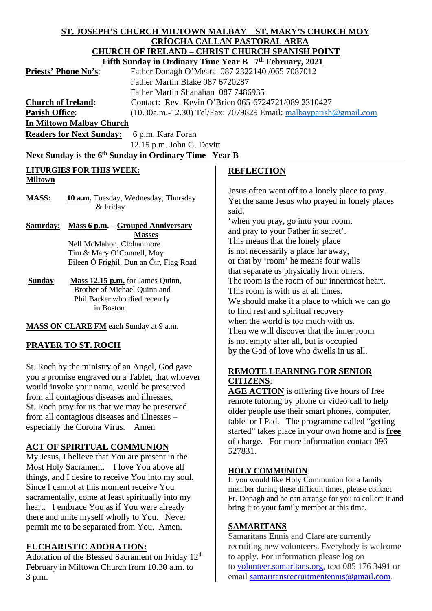#### **ST. JOSEPH'S CHURCH MILTOWN MALBAY ST. MARY'S CHURCH MOY CRÍOCHA CALLAN PASTORAL AREA CHURCH OF IRELAND – CHRIST CHURCH SPANISH POINT Fifth Sunday in Ordinary Time Year B 7th February, 2021**

|                                 | <b>FILUI SUNGAY III OTUNIAI Y THUC TEAT D</b> T FEOLUAI Y, 2021     |
|---------------------------------|---------------------------------------------------------------------|
| <b>Priests' Phone No's:</b>     | Father Donagh O'Meara 087 2322140 /065 7087012                      |
|                                 | Father Martin Blake 087 6720287                                     |
|                                 | Father Martin Shanahan 087 7486935                                  |
| <b>Church of Ireland:</b>       | Contact: Rev. Kevin O'Brien 065-6724721/089 2310427                 |
| <b>Parish Office:</b>           | $(10.30a.m.-12.30)$ Tel/Fax: 7079829 Email: malbayparish @gmail.com |
| <b>In Miltown Malbay Church</b> |                                                                     |

Readers for Next Sunday: 6 p.m. Kara Foran 12.15 p.m. John G. Devitt

## Next Sunday is the 6<sup>th</sup> Sunday in Ordinary Time Year B

#### **LITURGIES FOR THIS WEEK: Miltown**

MASS: 10 a.m. Tuesday, Wednesday, Thursday & Friday

#### **Saturday: Mass 6 p.m.** – **Grouped Anniversary Masses** Nell McMahon, Clohanmore Tim & Mary O'Connell, Moy Eileen Ó Frighil, Dun an Óir, Flag Road

**Sunday**: **Mass 12.15 p.m.** for James Quinn, Brother of Michael Quinn and Phil Barker who died recently in Boston

**MASS ON CLARE FM** each Sunday at 9 a.m.

# **PRAYER TO ST. ROCH**

St. Roch by the ministry of an Angel, God gave you a promise engraved on a Tablet, that whoever would invoke your name, would be preserved from all contagious diseases and illnesses. St. Roch pray for us that we may be preserved from all contagious diseases and illnesses – especially the Corona Virus. Amen

### **ACT OF SPIRITUAL COMMUNION**

My Jesus, I believe that You are present in the Most Holy Sacrament. I love You above all things, and I desire to receive You into my soul. Since I cannot at this moment receive You sacramentally, come at least spiritually into my heart. I embrace You as if You were already there and unite myself wholly to You. Never permit me to be separated from You. Amen.

### **EUCHARISTIC ADORATION:**

Adoration of the Blessed Sacrament on Friday 12<sup>th</sup> February in Miltown Church from 10.30 a.m. to 3 p.m.

## **REFLECTION**

Jesus often went off to a lonely place to pray. Yet the same Jesus who prayed in lonely places said,

'when you pray, go into your room, and pray to your Father in secret'. This means that the lonely place is not necessarily a place far away, or that by 'room' he means four walls that separate us physically from others. The room is the room of our innermost heart. This room is with us at all times. We should make it a place to which we can go to find rest and spiritual recovery when the world is too much with us. Then we will discover that the inner room is not empty after all, but is occupied by the God of love who dwells in us all.

### **REMOTE LEARNING FOR SENIOR CITIZENS**:

AGE ACTION is offering five hours of free remote tutoring by phone or video call to help older people use their smart phones, computer, tablet or I Pad. The programme called "getting started" takes place in your own home and is **free** of charge. For more information contact 096 527831.

### **HOLY COMMUNION**:

If you would like Holy Communion for a family member during these difficult times, please contact Fr. Donagh and he can arrange for you to collect it and bring it to your family member at this time.

### **SAMARITANS**

Samaritans Ennis and Clare are currently recruiting new volunteers. Everybody is welcome to apply. For information please log on to [volunteer.samaritans.org,](http://volunteer.samaritans.org/) text 085 176 3491 or email samaritansrecruitmentennis@gmail.com.